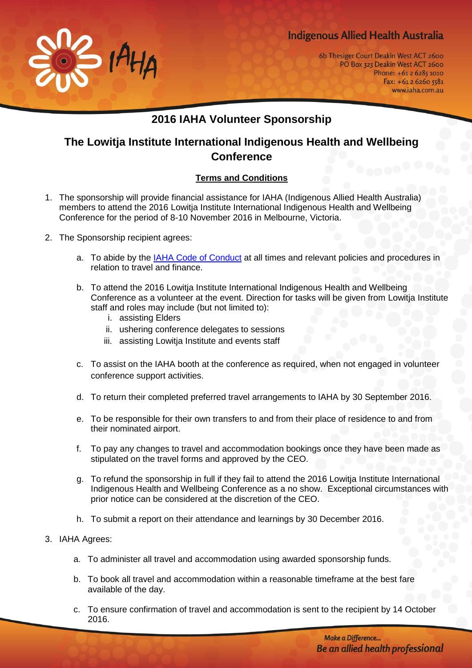## **Indigenous Allied Health Australia**



6b Thesiger Court Deakin West ACT 2600 PO Box 323 Deakin West ACT 2600 Phone: +61 2 6285 1010 Fax: +61 2 6260 5581 www.iaha.com.au

## **2016 IAHA Volunteer Sponsorship**

## **The Lowitja Institute International Indigenous Health and Wellbeing Conference**

## **Terms and Conditions**

- 1. The sponsorship will provide financial assistance for IAHA (Indigenous Allied Health Australia) members to attend the 2016 Lowitja Institute International Indigenous Health and Wellbeing Conference for the period of 8-10 November 2016 in Melbourne, Victoria.
- 2. The Sponsorship recipient agrees:
	- a. To abide by the [IAHA Code of Conduct](http://iaha.com.au/wp-content/uploads/2015/12/Policy-Title-Code-of-Conduct.pdf) at all times and relevant policies and procedures in relation to travel and finance.
	- b. To attend the 2016 Lowitja Institute International Indigenous Health and Wellbeing Conference as a volunteer at the event. Direction for tasks will be given from Lowitja Institute staff and roles may include (but not limited to):
		- i. assisting Elders
		- ii. ushering conference delegates to sessions
		- iii. assisting Lowitja Institute and events staff
	- c. To assist on the IAHA booth at the conference as required, when not engaged in volunteer conference support activities.
	- d. To return their completed preferred travel arrangements to IAHA by 30 September 2016.
	- e. To be responsible for their own transfers to and from their place of residence to and from their nominated airport.
	- f. To pay any changes to travel and accommodation bookings once they have been made as stipulated on the travel forms and approved by the CEO.
	- g. To refund the sponsorship in full if they fail to attend the 2016 Lowitja Institute International Indigenous Health and Wellbeing Conference as a no show. Exceptional circumstances with prior notice can be considered at the discretion of the CEO.
	- h. To submit a report on their attendance and learnings by 30 December 2016.
- 3. IAHA Agrees:
	- a. To administer all travel and accommodation using awarded sponsorship funds.
	- b. To book all travel and accommodation within a reasonable timeframe at the best fare available of the day.
	- c. To ensure confirmation of travel and accommodation is sent to the recipient by 14 October 2016.